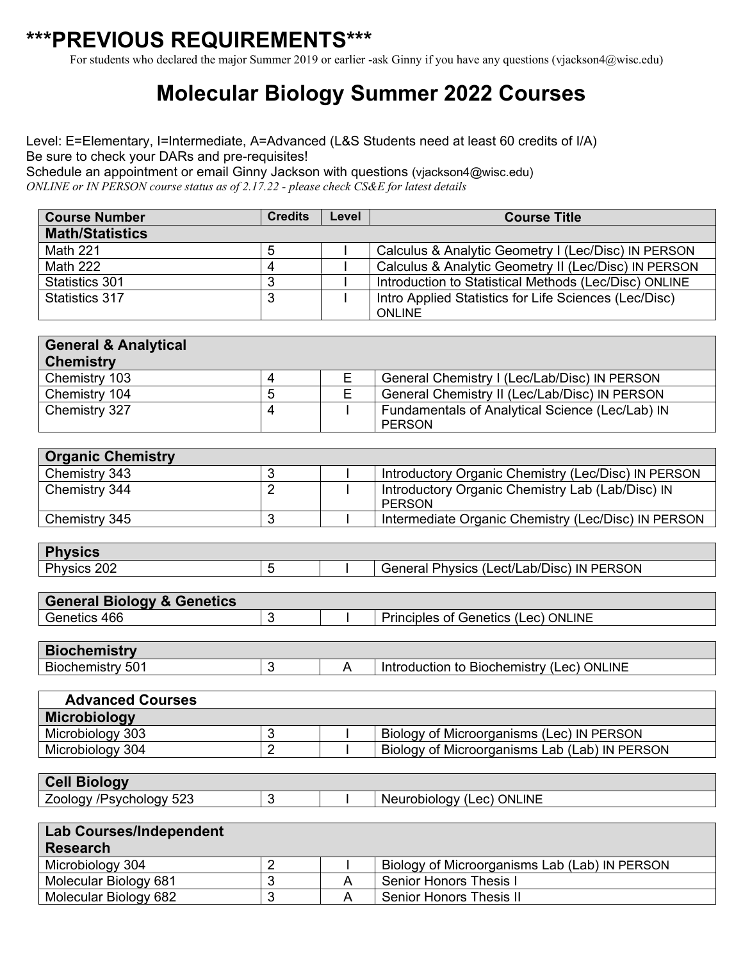## **\*\*\*PREVIOUS REQUIREMENTS\*\*\***

For students who declared the major Summer 2019 or earlier -ask Ginny if you have any questions (vjackson4@wisc.edu)

## **Molecular Biology Summer 2022 Courses**

Level: E=Elementary, I=Intermediate, A=Advanced (L&S Students need at least 60 credits of I/A) Be sure to check your DARs and pre-requisites! Schedule an appointment or email Ginny Jackson with questions (vjackson4@wisc.edu)

*ONLINE or IN PERSON course status as of 2.17.22 - please check CS&E for latest details*

| <b>Course Number</b>   | <b>Credits</b> | Level | <b>Course Title</b>                                   |
|------------------------|----------------|-------|-------------------------------------------------------|
| <b>Math/Statistics</b> |                |       |                                                       |
| <b>Math 221</b>        | 5              |       | Calculus & Analytic Geometry I (Lec/Disc) IN PERSON   |
| Math 222               | 4              |       | Calculus & Analytic Geometry II (Lec/Disc) IN PERSON  |
| Statistics 301         |                |       | Introduction to Statistical Methods (Lec/Disc) ONLINE |
| Statistics 317         |                |       | Intro Applied Statistics for Life Sciences (Lec/Disc) |
|                        |                |       | <b>ONLINE</b>                                         |

| <b>General &amp; Analytical</b><br><b>Chemistry</b> |  |                                                 |
|-----------------------------------------------------|--|-------------------------------------------------|
| Chemistry 103                                       |  | General Chemistry I (Lec/Lab/Disc) IN PERSON    |
| Chemistry 104                                       |  | General Chemistry II (Lec/Lab/Disc) IN PERSON   |
| Chemistry 327                                       |  | Fundamentals of Analytical Science (Lec/Lab) IN |
|                                                     |  | PERSON                                          |

| <b>Organic Chemistry</b> |  |                                                            |
|--------------------------|--|------------------------------------------------------------|
| Chemistry 343            |  | Introductory Organic Chemistry (Lec/Disc) IN PERSON        |
| Chemistry 344            |  | Introductory Organic Chemistry Lab (Lab/Disc) IN<br>PERSON |
| Chemistry 345            |  | Intermediate Organic Chemistry (Lec/Disc) IN PERSON        |

| ∣ Ph                          |  |                                                             |
|-------------------------------|--|-------------------------------------------------------------|
| <b>Physics</b><br>202<br>טטופ |  | Lect/Lab/Disc)<br><b>IN PERSON</b><br>Physics (I<br>General |
|                               |  |                                                             |

| <b>General Biology &amp; Genetics</b> |  |                                     |
|---------------------------------------|--|-------------------------------------|
| Genetics 466                          |  | Principles of Genetics (Lec) ONLINE |

| <b>Biochemistry</b> |  |                                                       |
|---------------------|--|-------------------------------------------------------|
| 501<br>Biochemistry |  | Lec) ONLINE<br><b>Biochemistry</b><br>Introduction to |

| <b>Advanced Courses</b> |  |                                               |
|-------------------------|--|-----------------------------------------------|
| Microbiology            |  |                                               |
| Microbiology 303        |  | Biology of Microorganisms (Lec) IN PERSON     |
| Microbiology 304        |  | Biology of Microorganisms Lab (Lab) IN PERSON |
|                         |  |                                               |

| <b>Cell Biology</b>            |  |                           |
|--------------------------------|--|---------------------------|
| <b>Zoology /Psychology 523</b> |  | Neurobiology (Lec) ONLINE |

| <b>Lab Courses/Independent</b><br><b>Research</b> |  |                                               |
|---------------------------------------------------|--|-----------------------------------------------|
| Microbiology 304                                  |  | Biology of Microorganisms Lab (Lab) IN PERSON |
| Molecular Biology 681                             |  | Senior Honors Thesis I                        |
| Molecular Biology 682                             |  | Senior Honors Thesis II                       |